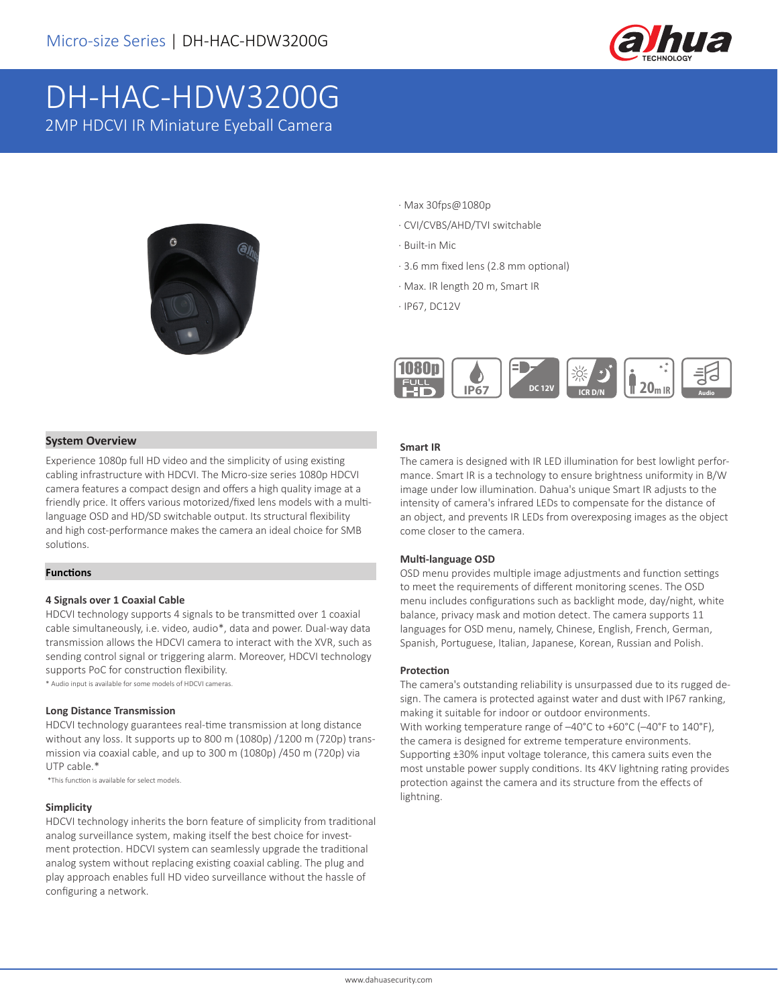

# DH-HAC-HDW3200G 2MP HDCVI IR Miniature Eyeball Camera



- · Max 30fps@1080p
- · CVI/CVBS/AHD/TVI switchable
- · Built-in Mic
- · 3.6 mm fixed lens (2.8 mm optional)
- · Max. IR length 20 m, Smart IR
- · IP67, DC12V



#### **System Overview**

Experience 1080p full HD video and the simplicity of using existing cabling infrastructure with HDCVI. The Micro-size series 1080p HDCVI camera features a compact design and offers a high quality image at a friendly price. It offers various motorized/fixed lens models with a multilanguage OSD and HD/SD switchable output. Its structural flexibility and high cost-performance makes the camera an ideal choice for SMB solutions.

#### **Functions**

#### **4 Signals over 1 Coaxial Cable**

HDCVI technology supports 4 signals to be transmitted over 1 coaxial cable simultaneously, i.e. video, audio\*, data and power. Dual-way data transmission allows the HDCVI camera to interact with the XVR, such as sending control signal or triggering alarm. Moreover, HDCVI technology supports PoC for construction flexibility.

\* Audio input is available for some models of HDCVI cameras.

#### **Long Distance Transmission**

HDCVI technology guarantees real-time transmission at long distance without any loss. It supports up to 800 m (1080p) /1200 m (720p) transmission via coaxial cable, and up to 300 m (1080p) /450 m (720p) via UTP cable.\*

\*This function is available for select models.

#### **Simplicity**

HDCVI technology inherits the born feature of simplicity from traditional analog surveillance system, making itself the best choice for investment protection. HDCVI system can seamlessly upgrade the traditional analog system without replacing existing coaxial cabling. The plug and play approach enables full HD video surveillance without the hassle of configuring a network.

#### **Smart IR**

The camera is designed with IR LED illumination for best lowlight performance. Smart IR is a technology to ensure brightness uniformity in B/W image under low illumination. Dahua's unique Smart IR adjusts to the intensity of camera's infrared LEDs to compensate for the distance of an object, and prevents IR LEDs from overexposing images as the object come closer to the camera.

#### **Multi-language OSD**

OSD menu provides multiple image adjustments and function settings to meet the requirements of different monitoring scenes. The OSD menu includes configurations such as backlight mode, day/night, white balance, privacy mask and motion detect. The camera supports 11 languages for OSD menu, namely, Chinese, English, French, German, Spanish, Portuguese, Italian, Japanese, Korean, Russian and Polish.

#### **Protection**

The camera's outstanding reliability is unsurpassed due to its rugged design. The camera is protected against water and dust with IP67 ranking, making it suitable for indoor or outdoor environments. With working temperature range of –40°C to +60°C (–40°F to 140°F), the camera is designed for extreme temperature environments. Supporting ±30% input voltage tolerance, this camera suits even the most unstable power supply conditions. Its 4KV lightning rating provides protection against the camera and its structure from the effects of lightning.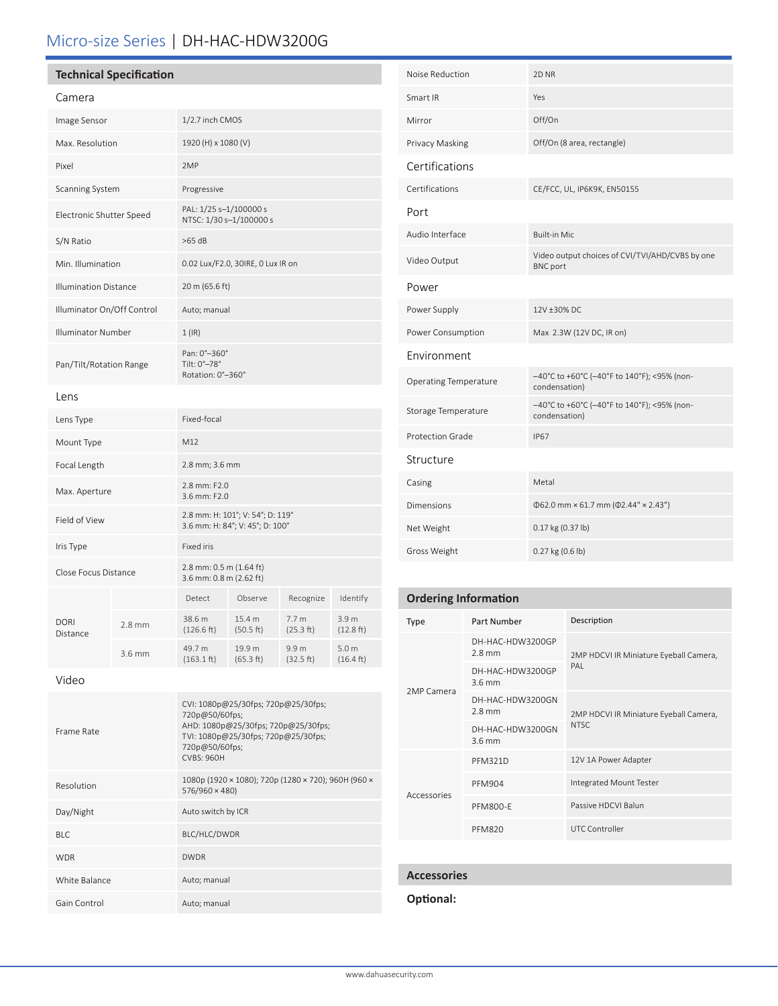# Micro-size Series | DH-HAC-HDW3200G

### **Technical Specification**

| ١ľ٢<br>ı<br>౼ |
|---------------|
|---------------|

Frame Rate

| Callicia                     |          |                                                                     |                     |                               |                                         |  |
|------------------------------|----------|---------------------------------------------------------------------|---------------------|-------------------------------|-----------------------------------------|--|
| Image Sensor                 |          | 1/2.7 inch CMOS                                                     |                     |                               |                                         |  |
| Max. Resolution              |          | 1920 (H) x 1080 (V)                                                 |                     |                               |                                         |  |
| Pixel                        |          | 2MP                                                                 |                     |                               |                                         |  |
| Scanning System              |          | Progressive                                                         |                     |                               |                                         |  |
| Electronic Shutter Speed     |          | PAL: 1/25 s-1/100000 s<br>NTSC: 1/30 s-1/100000 s                   |                     |                               |                                         |  |
| S/N Ratio                    |          | $>65$ dB                                                            |                     |                               |                                         |  |
| Min. Illumination            |          | 0.02 Lux/F2.0, 30IRE, 0 Lux IR on                                   |                     |                               |                                         |  |
| <b>Illumination Distance</b> |          | 20 m (65.6 ft)                                                      |                     |                               |                                         |  |
| Illuminator On/Off Control   |          | Auto; manual                                                        |                     |                               |                                         |  |
| <b>Illuminator Number</b>    |          | $1$ (IR)                                                            |                     |                               |                                         |  |
| Pan/Tilt/Rotation Range      |          | Pan: 0°-360°<br>Tilt: 0°-78°<br>Rotation: 0°-360°                   |                     |                               |                                         |  |
| Lens                         |          |                                                                     |                     |                               |                                         |  |
| Lens Type                    |          | Fixed-focal                                                         |                     |                               |                                         |  |
| Mount Type                   |          | M12                                                                 |                     |                               |                                         |  |
| Focal Length                 |          | 2.8 mm; 3.6 mm                                                      |                     |                               |                                         |  |
| Max. Aperture                |          | 2.8 mm: F2.0<br>3.6 mm: F2.0                                        |                     |                               |                                         |  |
| Field of View                |          | 2.8 mm: H: 101°; V: 54°; D: 119°<br>3.6 mm: H: 84°; V: 45°; D: 100° |                     |                               |                                         |  |
| Iris Type                    |          | <b>Fixed iris</b>                                                   |                     |                               |                                         |  |
| Close Focus Distance         |          | 2.8 mm: 0.5 m (1.64 ft)<br>3.6 mm: 0.8 m (2.62 ft)                  |                     |                               |                                         |  |
|                              |          | Detect                                                              | Observe             | Recognize                     | Identify                                |  |
| <b>DORI</b><br>Distance      | $2.8$ mm | 38.6 m<br>(126.6 ft)                                                | 15.4 m<br>(50.5 ft) | 7.7 <sub>m</sub><br>(25.3 ft) | 3.9 <sub>m</sub><br>(12.8 ft)           |  |
|                              | 3.6 mm   | 49.7 m<br>$(163.1 \text{ ft})$                                      | 19.9 m<br>(65.3 ft) | 9.9 m<br>(32.5 ft)            | 5.0 <sub>m</sub><br>$(16.4 \text{ ft})$ |  |
| Video                        |          |                                                                     |                     |                               |                                         |  |

CVI: 1080p@25/30fps; 720p@25/30fps;

AHD: 1080p@25/30fps; 720p@25/30fps; TVI: 1080p@25/30fps; 720p@25/30fps;

720p@50/60fps;

720p@50/60fps; CVBS: 960H

Resolution 1080p (1920 × 1080); 720p (1280 × 720); 960H (960 × 576/960 × 480)

Day/Night Auto switch by ICR BLC BLC/HLC/DWDR

WDR DWDR DWDR

White Balance **Auto**; manual Gain Control **Auto**; manual

| Noise Reduction              | 2D NR                                                              |
|------------------------------|--------------------------------------------------------------------|
| Smart IR                     | Yes                                                                |
| Mirror                       | Off/On                                                             |
| Privacy Masking              | Off/On (8 area, rectangle)                                         |
| Certifications               |                                                                    |
| Certifications               | CE/FCC, UL, IP6K9K, EN50155                                        |
| Port                         |                                                                    |
| Audio Interface              | <b>Built-in Mic</b>                                                |
| Video Output                 | Video output choices of CVI/TVI/AHD/CVBS by one<br><b>BNC</b> port |
| Power                        |                                                                    |
| Power Supply                 | 12V ±30% DC                                                        |
| Power Consumption            | Max 2.3W (12V DC, IR on)                                           |
| Environment                  |                                                                    |
| <b>Operating Temperature</b> | -40°C to +60°C (-40°F to 140°F); <95% (non-<br>condensation)       |
| Storage Temperature          | -40°C to +60°C (-40°F to 140°F); <95% (non-<br>condensation)       |
| Protection Grade             | <b>IP67</b>                                                        |
| Structure                    |                                                                    |
| Casing                       | Metal                                                              |
| Dimensions                   | $\Phi$ 62.0 mm × 61.7 mm ( $\Phi$ 2.44" × 2.43")                   |
| Net Weight                   | 0.17 kg (0.37 lb)                                                  |
| Gross Weight                 | 0.27 kg (0.6 lb)                                                   |

### **Ordering Information**

| Type        | Part Number                          | Description                                     |  |  |
|-------------|--------------------------------------|-------------------------------------------------|--|--|
| 2MP Camera  | DH-HAC-HDW3200GP<br>$2.8$ mm         | 2MP HDCVI IR Miniature Eyeball Camera,          |  |  |
|             | DH-HAC-HDW3200GP<br>$3.6 \text{ mm}$ | PAI                                             |  |  |
|             | DH-HAC-HDW3200GN<br>$2.8$ mm         | 2MP HDCVI IR Miniature Eyeball Camera,<br>NTSC. |  |  |
|             | DH-HAC-HDW3200GN<br>$3.6 \text{ mm}$ |                                                 |  |  |
|             | <b>PFM321D</b>                       | 12V 1A Power Adapter                            |  |  |
|             | <b>PFM904</b>                        | Integrated Mount Tester                         |  |  |
| Accessories | <b>PFM800-F</b>                      | Passive HDCVI Balun                             |  |  |
|             | <b>PFM820</b>                        | <b>UTC Controller</b>                           |  |  |

#### **Accessories**

#### hal:

|  | Optior |  |
|--|--------|--|
|  |        |  |